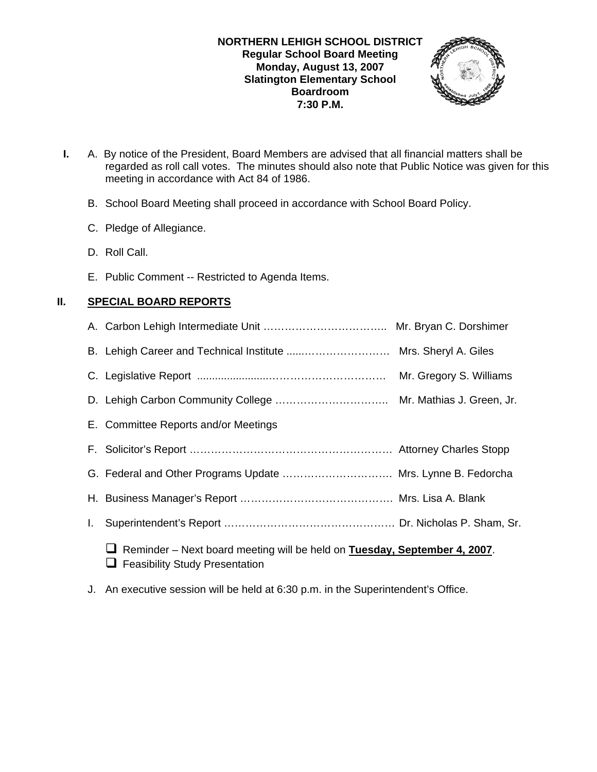#### **NORTHERN LEHIGH SCHOOL DISTRICT Regular School Board Meeting Monday, August 13, 2007 Slatington Elementary School Boardroom 7:30 P.M.**



- **I.** A. By notice of the President, Board Members are advised that all financial matters shall be regarded as roll call votes. The minutes should also note that Public Notice was given for this meeting in accordance with Act 84 of 1986.
	- B. School Board Meeting shall proceed in accordance with School Board Policy.
	- C. Pledge of Allegiance.
	- D. Roll Call.
	- E. Public Comment -- Restricted to Agenda Items.

# **II. SPECIAL BOARD REPORTS**

|    | B. Lehigh Career and Technical Institute  Mrs. Sheryl A. Giles                                                            |  |
|----|---------------------------------------------------------------------------------------------------------------------------|--|
|    |                                                                                                                           |  |
|    |                                                                                                                           |  |
|    | E. Committee Reports and/or Meetings                                                                                      |  |
|    |                                                                                                                           |  |
|    | G. Federal and Other Programs Update  Mrs. Lynne B. Fedorcha                                                              |  |
|    |                                                                                                                           |  |
| L. |                                                                                                                           |  |
|    | $\Box$ Reminder – Next board meeting will be held on Tuesday, September 4, 2007.<br>$\Box$ Feasibility Study Presentation |  |

J. An executive session will be held at 6:30 p.m. in the Superintendent's Office.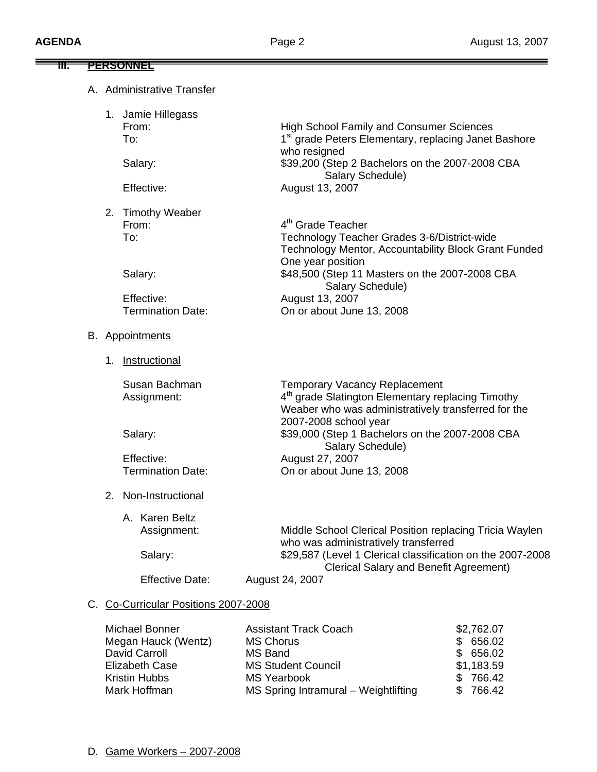$=$ 

| ₩. |    | <u>PERSONNEL</u>                              |                                                                                                                                                                                                             |
|----|----|-----------------------------------------------|-------------------------------------------------------------------------------------------------------------------------------------------------------------------------------------------------------------|
|    |    | <b>Administrative Transfer</b>                |                                                                                                                                                                                                             |
|    |    | 1. Jamie Hillegass<br>From:<br>To:<br>Salary: | <b>High School Family and Consumer Sciences</b><br>1 <sup>st</sup> grade Peters Elementary, replacing Janet Bashore<br>who resigned<br>\$39,200 (Step 2 Bachelors on the 2007-2008 CBA<br>Salary Schedule)  |
|    |    | Effective:                                    | August 13, 2007                                                                                                                                                                                             |
|    |    | 2. Timothy Weaber<br>From:<br>To:<br>Salary:  | 4 <sup>th</sup> Grade Teacher<br>Technology Teacher Grades 3-6/District-wide<br>Technology Mentor, Accountability Block Grant Funded<br>One year position<br>\$48,500 (Step 11 Masters on the 2007-2008 CBA |
|    |    | Effective:<br><b>Termination Date:</b>        | Salary Schedule)<br>August 13, 2007<br>On or about June 13, 2008                                                                                                                                            |
|    |    | B. Appointments                               |                                                                                                                                                                                                             |
|    |    | 1. Instructional                              |                                                                                                                                                                                                             |
|    |    | Susan Bachman<br>Assignment:                  | <b>Temporary Vacancy Replacement</b><br>4 <sup>th</sup> grade Slatington Elementary replacing Timothy<br>Weaber who was administratively transferred for the                                                |
|    |    | Salary:                                       | 2007-2008 school year<br>\$39,000 (Step 1 Bachelors on the 2007-2008 CBA<br>Salary Schedule)                                                                                                                |
|    |    | Effective:<br><b>Termination Date:</b>        | August 27, 2007<br>On or about June 13, 2008                                                                                                                                                                |
|    | 2. | Non-Instructional                             |                                                                                                                                                                                                             |
|    |    | A. Karen Beltz<br>Assignment:                 | Middle School Clerical Position replacing Tricia Waylen<br>who was administratively transferred                                                                                                             |
|    |    | Salary:                                       | \$29,587 (Level 1 Clerical classification on the 2007-2008                                                                                                                                                  |
|    |    | <b>Effective Date:</b>                        | <b>Clerical Salary and Benefit Agreement)</b><br>August 24, 2007                                                                                                                                            |
|    |    | C. Co-Curricular Positions 2007-2008          |                                                                                                                                                                                                             |

#### <u>Co-Curricular Positions 2007-2008 ب</u>

| Michael Bonner      | <b>Assistant Track Coach</b>         | \$2,762.07 |
|---------------------|--------------------------------------|------------|
| Megan Hauck (Wentz) | <b>MS Chorus</b>                     | \$656.02   |
| David Carroll       | MS Band                              | \$656.02   |
| Elizabeth Case      | <b>MS Student Council</b>            | \$1,183.59 |
| Kristin Hubbs       | <b>MS Yearbook</b>                   | \$766.42   |
| Mark Hoffman        | MS Spring Intramural - Weightlifting | \$766.42   |
|                     |                                      |            |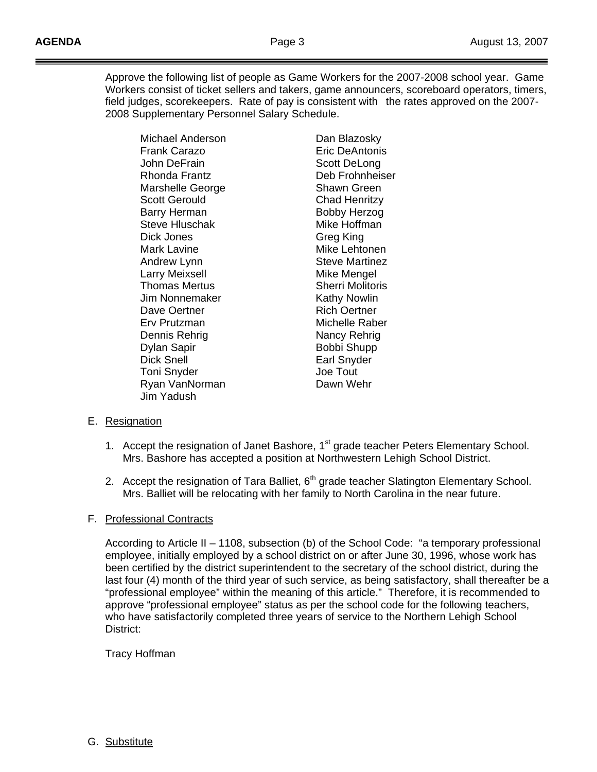Approve the following list of people as Game Workers for the 2007-2008 school year. Game Workers consist of ticket sellers and takers, game announcers, scoreboard operators, timers, field judges, scorekeepers. Rate of pay is consistent with the rates approved on the 2007- 2008 Supplementary Personnel Salary Schedule.

 Frank Carazo Eric DeAntonis John DeFrain Scott DeLong Rhonda Frantz Deb Frohnheiser Marshelle George **Shawn Green** Scott Gerould Chad Henritzy Barry Herman Bobby Herzog Steve Hluschak Mike Hoffman Dick Jones Greg King Mark Lavine **Mike Lehtonen** Andrew Lynn Steve Martinez Larry Meixsell **Mike Mengel** Thomas Mertus **Sherri Molitoris** Jim Nonnemaker Kathy Nowlin Dave Oertner **Rich Oertner**  Erv Prutzman Michelle Raber Dennis Rehrig Nancy Rehrig Dylan Sapir Bobbi Shupp Toni Snyder **Joe Tout** Ryan VanNorman Dawn Wehr Jim Yadush

Michael Anderson **Dan Blazosky** Earl Snyder

### E. Resignation

- 1. Accept the resignation of Janet Bashore, 1<sup>st</sup> grade teacher Peters Elementary School. Mrs. Bashore has accepted a position at Northwestern Lehigh School District.
- 2. Accept the resignation of Tara Balliet,  $6<sup>th</sup>$  grade teacher Slatington Elementary School. Mrs. Balliet will be relocating with her family to North Carolina in the near future.

### F. Professional Contracts

 According to Article II – 1108, subsection (b) of the School Code: "a temporary professional employee, initially employed by a school district on or after June 30, 1996, whose work has been certified by the district superintendent to the secretary of the school district, during the last four (4) month of the third year of such service, as being satisfactory, shall thereafter be a "professional employee" within the meaning of this article." Therefore, it is recommended to approve "professional employee" status as per the school code for the following teachers, who have satisfactorily completed three years of service to the Northern Lehigh School District:

### Tracy Hoffman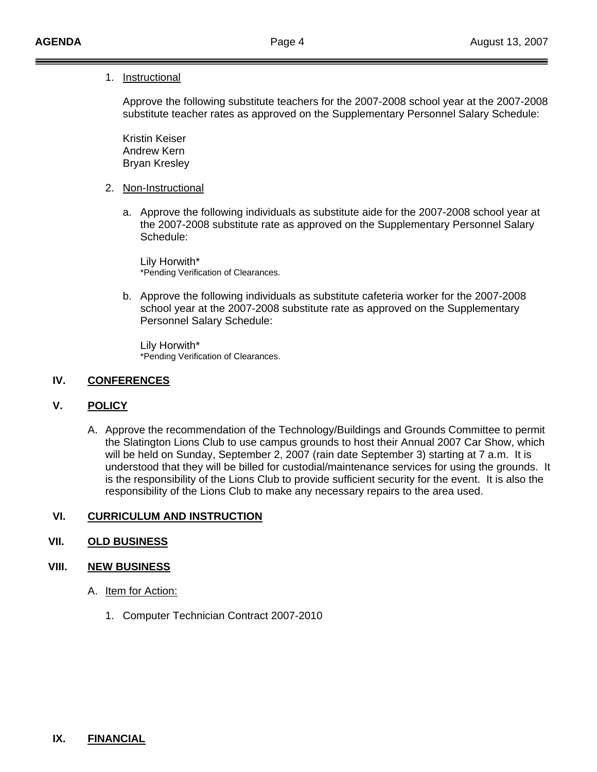#### 1. Instructional

 Approve the following substitute teachers for the 2007-2008 school year at the 2007-2008 substitute teacher rates as approved on the Supplementary Personnel Salary Schedule:

 Kristin Keiser Andrew Kern Bryan Kresley

- 2. Non-Instructional
	- a. Approve the following individuals as substitute aide for the 2007-2008 school year at the 2007-2008 substitute rate as approved on the Supplementary Personnel Salary Schedule:

 Lily Horwith\* \*Pending Verification of Clearances.

b. Approve the following individuals as substitute cafeteria worker for the 2007-2008 school year at the 2007-2008 substitute rate as approved on the Supplementary Personnel Salary Schedule:

 Lily Horwith\* \*Pending Verification of Clearances.

#### **IV. CONFERENCES**

#### **V. POLICY**

A. Approve the recommendation of the Technology/Buildings and Grounds Committee to permit the Slatington Lions Club to use campus grounds to host their Annual 2007 Car Show, which will be held on Sunday, September 2, 2007 (rain date September 3) starting at 7 a.m. It is understood that they will be billed for custodial/maintenance services for using the grounds. It is the responsibility of the Lions Club to provide sufficient security for the event. It is also the responsibility of the Lions Club to make any necessary repairs to the area used.

### **VI. CURRICULUM AND INSTRUCTION**

### **VII. OLD BUSINESS**

#### **VIII. NEW BUSINESS**

- A. Item for Action:
	- 1. Computer Technician Contract 2007-2010